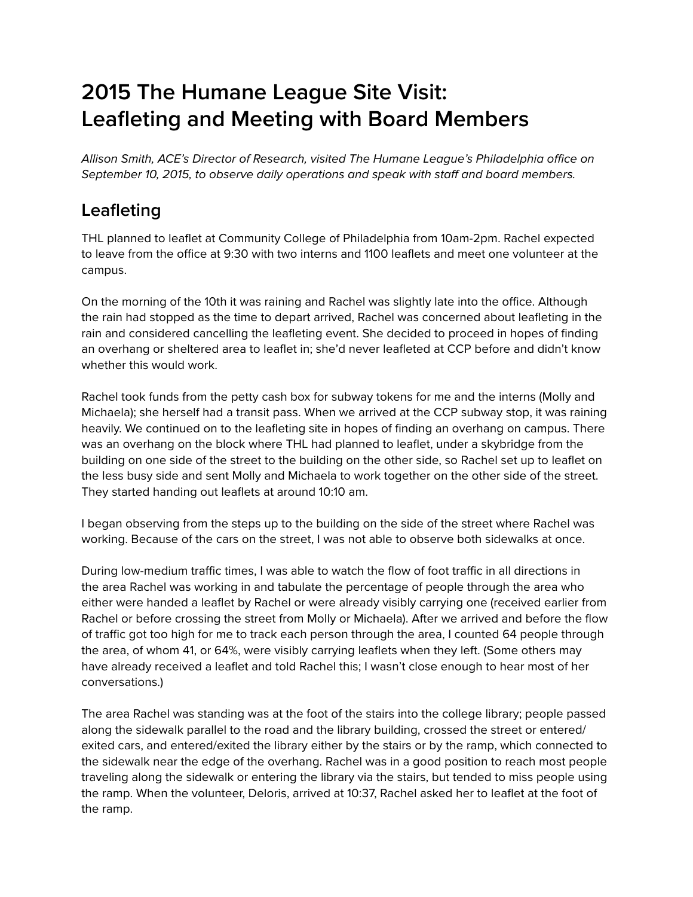# **2015 The Humane League Site Visit: Leafleting and Meeting with Board Members**

Allison Smith, ACE's Director of Research, visited The Humane League's Philadelphia office on September 10, 2015, to observe daily operations and speak with staff and board members.

# **Leafleting**

THL planned to leaflet at Community College of Philadelphia from 10am-2pm. Rachel expected to leave from the office at 9:30 with two interns and 1100 leaflets and meet one volunteer at the campus.

On the morning of the 10th it was raining and Rachel was slightly late into the office. Although the rain had stopped as the time to depart arrived, Rachel was concerned about leafleting in the rain and considered cancelling the leafleting event. She decided to proceed in hopes of finding an overhang or sheltered area to leaflet in; she'd never leafleted at CCP before and didn't know whether this would work.

Rachel took funds from the petty cash box for subway tokens for me and the interns (Molly and Michaela); she herself had a transit pass. When we arrived at the CCP subway stop, it was raining heavily. We continued on to the leafleting site in hopes of finding an overhang on campus. There was an overhang on the block where THL had planned to leaflet, under a skybridge from the building on one side of the street to the building on the other side, so Rachel set up to leaflet on the less busy side and sent Molly and Michaela to work together on the other side of the street. They started handing out leaflets at around 10:10 am.

I began observing from the steps up to the building on the side of the street where Rachel was working. Because of the cars on the street, I was not able to observe both sidewalks at once.

During low-medium traffic times, I was able to watch the flow of foot traffic in all directions in the area Rachel was working in and tabulate the percentage of people through the area who either were handed a leaflet by Rachel or were already visibly carrying one (received earlier from Rachel or before crossing the street from Molly or Michaela). After we arrived and before the flow of traffic got too high for me to track each person through the area, I counted 64 people through the area, of whom 41, or 64%, were visibly carrying leaflets when they left. (Some others may have already received a leaflet and told Rachel this; I wasn't close enough to hear most of her conversations.)

The area Rachel was standing was at the foot of the stairs into the college library; people passed along the sidewalk parallel to the road and the library building, crossed the street or entered/ exited cars, and entered/exited the library either by the stairs or by the ramp, which connected to the sidewalk near the edge of the overhang. Rachel was in a good position to reach most people traveling along the sidewalk or entering the library via the stairs, but tended to miss people using the ramp. When the volunteer, Deloris, arrived at 10:37, Rachel asked her to leaflet at the foot of the ramp.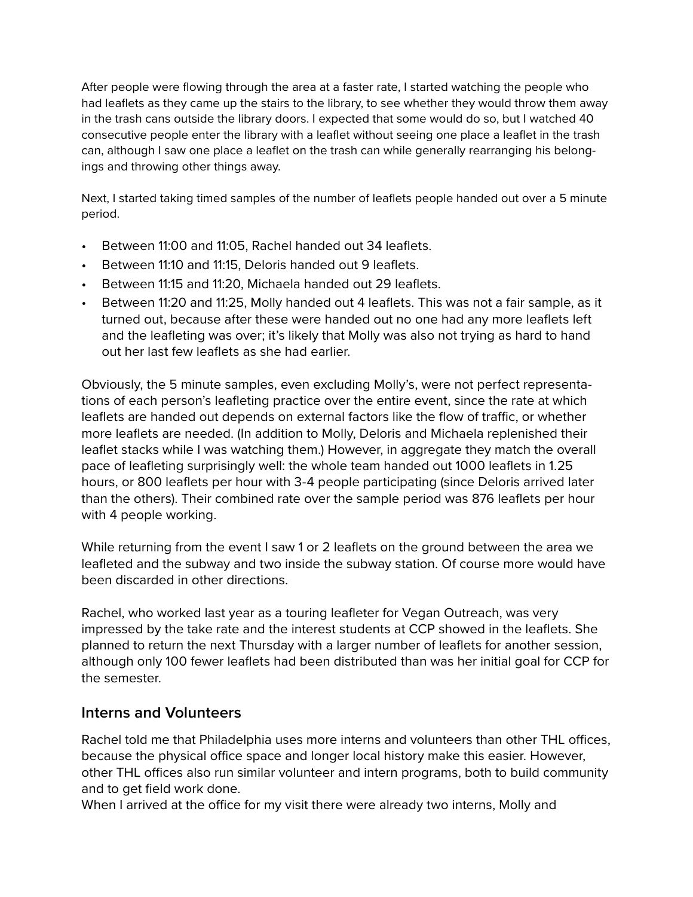After people were flowing through the area at a faster rate, I started watching the people who had leaflets as they came up the stairs to the library, to see whether they would throw them away in the trash cans outside the library doors. I expected that some would do so, but I watched 40 consecutive people enter the library with a leaflet without seeing one place a leaflet in the trash can, although I saw one place a leaflet on the trash can while generally rearranging his belongings and throwing other things away.

Next, I started taking timed samples of the number of leaflets people handed out over a 5 minute period.

- Between 11:00 and 11:05, Rachel handed out 34 leaflets.
- Between 11:10 and 11:15, Deloris handed out 9 leaflets.
- Between 11:15 and 11:20, Michaela handed out 29 leaflets.
- Between 11:20 and 11:25, Molly handed out 4 leaflets. This was not a fair sample, as it turned out, because after these were handed out no one had any more leaflets left and the leafleting was over; it's likely that Molly was also not trying as hard to hand out her last few leaflets as she had earlier.

Obviously, the 5 minute samples, even excluding Molly's, were not perfect representations of each person's leafleting practice over the entire event, since the rate at which leaflets are handed out depends on external factors like the flow of traffic, or whether more leaflets are needed. (In addition to Molly, Deloris and Michaela replenished their leaflet stacks while I was watching them.) However, in aggregate they match the overall pace of leafleting surprisingly well: the whole team handed out 1000 leaflets in 1.25 hours, or 800 leaflets per hour with 3-4 people participating (since Deloris arrived later than the others). Their combined rate over the sample period was 876 leaflets per hour with 4 people working.

While returning from the event I saw 1 or 2 leaflets on the ground between the area we leafleted and the subway and two inside the subway station. Of course more would have been discarded in other directions.

Rachel, who worked last year as a touring leafleter for Vegan Outreach, was very impressed by the take rate and the interest students at CCP showed in the leaflets. She planned to return the next Thursday with a larger number of leaflets for another session, although only 100 fewer leaflets had been distributed than was her initial goal for CCP for the semester.

### **Interns and Volunteers**

Rachel told me that Philadelphia uses more interns and volunteers than other THL offices, because the physical office space and longer local history make this easier. However, other THL offices also run similar volunteer and intern programs, both to build community and to get field work done.

When I arrived at the office for my visit there were already two interns, Molly and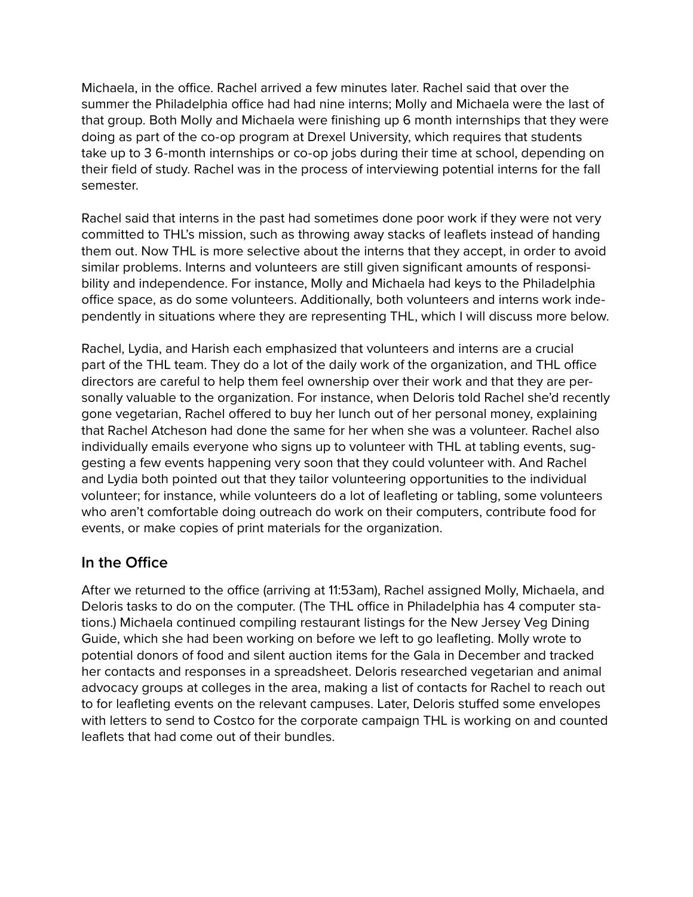Michaela, in the office. Rachel arrived a few minutes later. Rachel said that over the summer the Philadelphia office had had nine interns; Molly and Michaela were the last of that group. Both Molly and Michaela were finishing up 6 month internships that they were doing as part of the co-op program at Drexel University, which requires that students take up to 3 6-month internships or co-op jobs during their time at school, depending on their field of study. Rachel was in the process of interviewing potential interns for the fall semester.

Rachel said that interns in the past had sometimes done poor work if they were not very committed to THL's mission, such as throwing away stacks of leaflets instead of handing them out. Now THL is more selective about the interns that they accept, in order to avoid similar problems. Interns and volunteers are still given significant amounts of responsibility and independence. For instance, Molly and Michaela had keys to the Philadelphia office space, as do some volunteers. Additionally, both volunteers and interns work independently in situations where they are representing THL, which I will discuss more below.

Rachel, Lydia, and Harish each emphasized that volunteers and interns are a crucial part of the THL team. They do a lot of the daily work of the organization, and THL office directors are careful to help them feel ownership over their work and that they are personally valuable to the organization. For instance, when Deloris told Rachel she'd recently gone vegetarian, Rachel offered to buy her lunch out of her personal money, explaining that Rachel Atcheson had done the same for her when she was a volunteer. Rachel also individually emails everyone who signs up to volunteer with THL at tabling events, suggesting a few events happening very soon that they could volunteer with. And Rachel and Lydia both pointed out that they tailor volunteering opportunities to the individual volunteer; for instance, while volunteers do a lot of leafleting or tabling, some volunteers who aren't comfortable doing outreach do work on their computers, contribute food for events, or make copies of print materials for the organization.

### **In the Office**

After we returned to the office (arriving at 11:53am), Rachel assigned Molly, Michaela, and Deloris tasks to do on the computer. (The THL office in Philadelphia has 4 computer stations.) Michaela continued compiling restaurant listings for the New Jersey Veg Dining Guide, which she had been working on before we left to go leafleting. Molly wrote to potential donors of food and silent auction items for the Gala in December and tracked her contacts and responses in a spreadsheet. Deloris researched vegetarian and animal advocacy groups at colleges in the area, making a list of contacts for Rachel to reach out to for leafleting events on the relevant campuses. Later, Deloris stuffed some envelopes with letters to send to Costco for the corporate campaign THL is working on and counted leaflets that had come out of their bundles.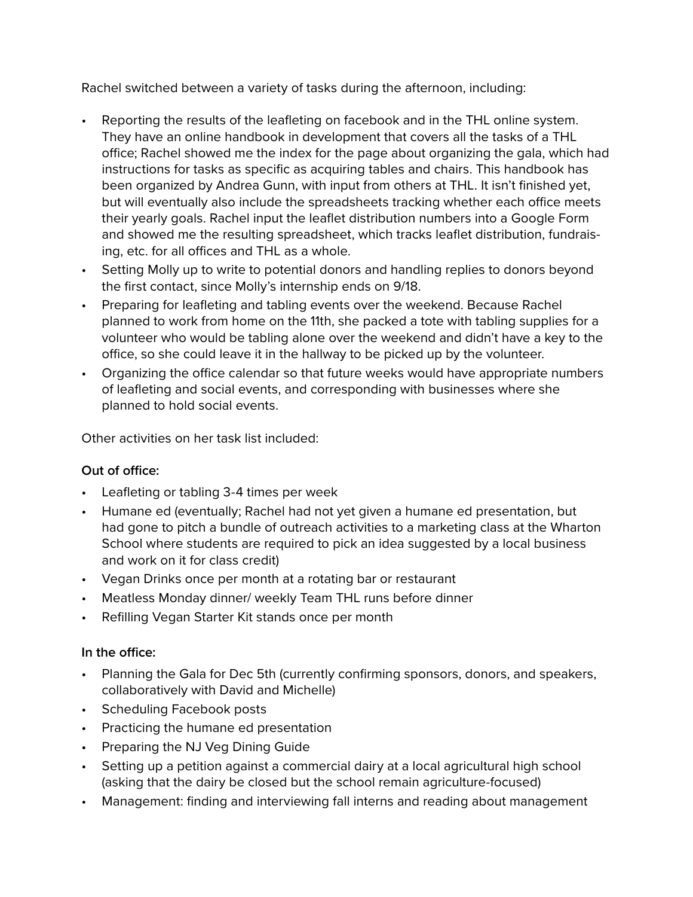Rachel switched between a variety of tasks during the afternoon, including:

- Reporting the results of the leafleting on facebook and in the THL online system. They have an online handbook in development that covers all the tasks of a THL office; Rachel showed me the index for the page about organizing the gala, which had instructions for tasks as specific as acquiring tables and chairs. This handbook has been organized by Andrea Gunn, with input from others at THL. It isn't finished yet, but will eventually also include the spreadsheets tracking whether each office meets their yearly goals. Rachel input the leaflet distribution numbers into a Google Form and showed me the resulting spreadsheet, which tracks leaflet distribution, fundraising, etc. for all offices and THL as a whole.
- Setting Molly up to write to potential donors and handling replies to donors beyond the first contact, since Molly's internship ends on 9/18.
- Preparing for leafleting and tabling events over the weekend. Because Rachel planned to work from home on the 11th, she packed a tote with tabling supplies for a volunteer who would be tabling alone over the weekend and didn't have a key to the office, so she could leave it in the hallway to be picked up by the volunteer.
- Organizing the office calendar so that future weeks would have appropriate numbers of leafleting and social events, and corresponding with businesses where she planned to hold social events.

Other activities on her task list included:

#### **Out of office:**

- Leafleting or tabling 3-4 times per week
- Humane ed (eventually; Rachel had not yet given a humane ed presentation, but had gone to pitch a bundle of outreach activities to a marketing class at the Wharton School where students are required to pick an idea suggested by a local business and work on it for class credit)
- Vegan Drinks once per month at a rotating bar or restaurant
- Meatless Monday dinner/ weekly Team THL runs before dinner
- Refilling Vegan Starter Kit stands once per month

#### **In the office:**

- Planning the Gala for Dec 5th (currently confirming sponsors, donors, and speakers, collaboratively with David and Michelle)
- Scheduling Facebook posts
- Practicing the humane ed presentation
- Preparing the NJ Veg Dining Guide
- Setting up a petition against a commercial dairy at a local agricultural high school (asking that the dairy be closed but the school remain agriculture-focused)
- Management: finding and interviewing fall interns and reading about management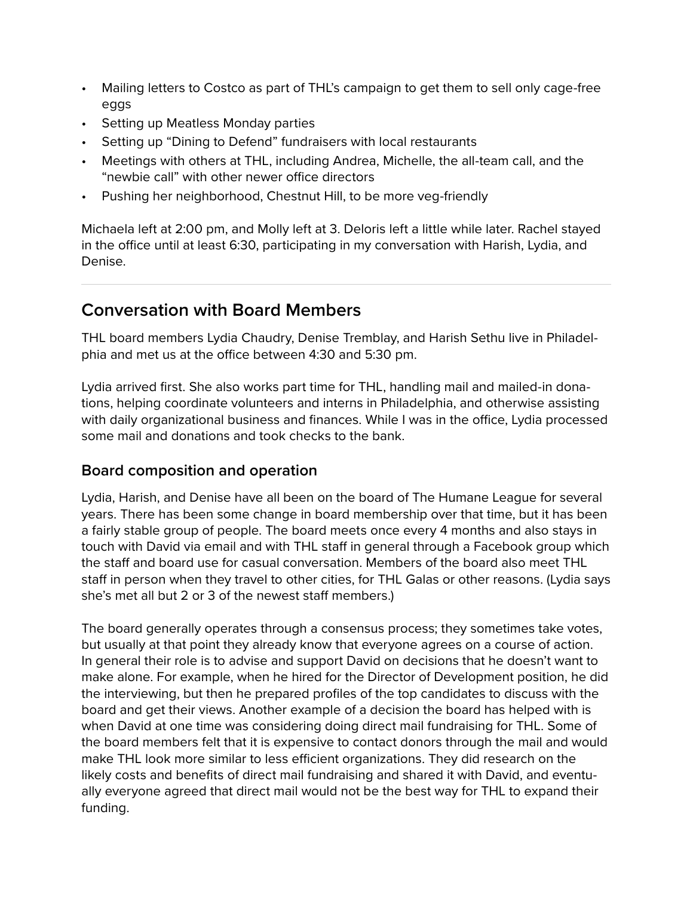- Mailing letters to Costco as part of THL's campaign to get them to sell only cage-free eggs
- Setting up Meatless Monday parties
- Setting up "Dining to Defend" fundraisers with local restaurants
- Meetings with others at THL, including Andrea, Michelle, the all-team call, and the "newbie call" with other newer office directors
- Pushing her neighborhood, Chestnut Hill, to be more veg-friendly

Michaela left at 2:00 pm, and Molly left at 3. Deloris left a little while later. Rachel stayed in the office until at least 6:30, participating in my conversation with Harish, Lydia, and Denise.

## **Conversation with Board Members**

THL board members Lydia Chaudry, Denise Tremblay, and Harish Sethu live in Philadelphia and met us at the office between 4:30 and 5:30 pm.

Lydia arrived first. She also works part time for THL, handling mail and mailed-in donations, helping coordinate volunteers and interns in Philadelphia, and otherwise assisting with daily organizational business and finances. While I was in the office, Lydia processed some mail and donations and took checks to the bank.

### **Board composition and operation**

Lydia, Harish, and Denise have all been on the board of The Humane League for several years. There has been some change in board membership over that time, but it has been a fairly stable group of people. The board meets once every 4 months and also stays in touch with David via email and with THL staff in general through a Facebook group which the staff and board use for casual conversation. Members of the board also meet THL staff in person when they travel to other cities, for THL Galas or other reasons. (Lydia says she's met all but 2 or 3 of the newest staff members.)

The board generally operates through a consensus process; they sometimes take votes, but usually at that point they already know that everyone agrees on a course of action. In general their role is to advise and support David on decisions that he doesn't want to make alone. For example, when he hired for the Director of Development position, he did the interviewing, but then he prepared profiles of the top candidates to discuss with the board and get their views. Another example of a decision the board has helped with is when David at one time was considering doing direct mail fundraising for THL. Some of the board members felt that it is expensive to contact donors through the mail and would make THL look more similar to less efficient organizations. They did research on the likely costs and benefits of direct mail fundraising and shared it with David, and eventually everyone agreed that direct mail would not be the best way for THL to expand their funding.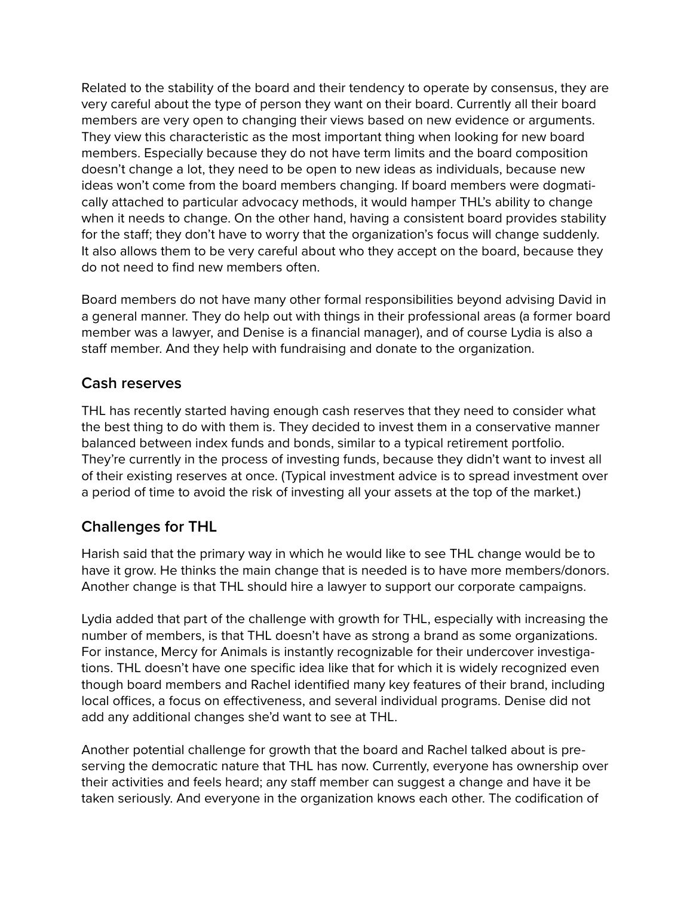Related to the stability of the board and their tendency to operate by consensus, they are very careful about the type of person they want on their board. Currently all their board members are very open to changing their views based on new evidence or arguments. They view this characteristic as the most important thing when looking for new board members. Especially because they do not have term limits and the board composition doesn't change a lot, they need to be open to new ideas as individuals, because new ideas won't come from the board members changing. If board members were dogmatically attached to particular advocacy methods, it would hamper THL's ability to change when it needs to change. On the other hand, having a consistent board provides stability for the staff; they don't have to worry that the organization's focus will change suddenly. It also allows them to be very careful about who they accept on the board, because they do not need to find new members often.

Board members do not have many other formal responsibilities beyond advising David in a general manner. They do help out with things in their professional areas (a former board member was a lawyer, and Denise is a financial manager), and of course Lydia is also a staff member. And they help with fundraising and donate to the organization.

### **Cash reserves**

THL has recently started having enough cash reserves that they need to consider what the best thing to do with them is. They decided to invest them in a conservative manner balanced between index funds and bonds, similar to a typical retirement portfolio. They're currently in the process of investing funds, because they didn't want to invest all of their existing reserves at once. (Typical investment advice is to spread investment over a period of time to avoid the risk of investing all your assets at the top of the market.)

### **Challenges for THL**

Harish said that the primary way in which he would like to see THL change would be to have it grow. He thinks the main change that is needed is to have more members/donors. Another change is that THL should hire a lawyer to support our corporate campaigns.

Lydia added that part of the challenge with growth for THL, especially with increasing the number of members, is that THL doesn't have as strong a brand as some organizations. For instance, Mercy for Animals is instantly recognizable for their undercover investigations. THL doesn't have one specific idea like that for which it is widely recognized even though board members and Rachel identified many key features of their brand, including local offices, a focus on effectiveness, and several individual programs. Denise did not add any additional changes she'd want to see at THL.

Another potential challenge for growth that the board and Rachel talked about is preserving the democratic nature that THL has now. Currently, everyone has ownership over their activities and feels heard; any staff member can suggest a change and have it be taken seriously. And everyone in the organization knows each other. The codification of